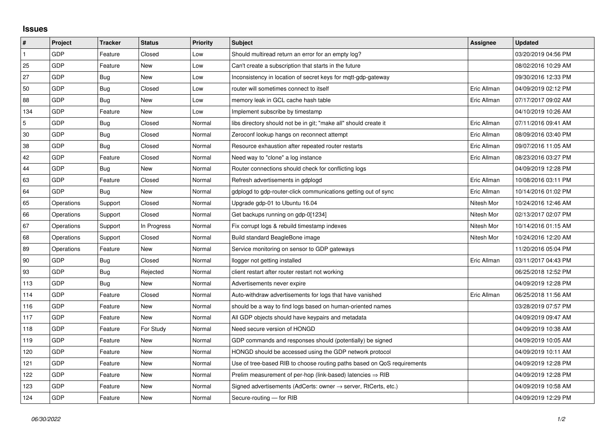## **Issues**

| $\vert$ #    | Project    | <b>Tracker</b> | <b>Status</b> | <b>Priority</b> | <b>Subject</b>                                                             | Assignee    | <b>Updated</b>      |
|--------------|------------|----------------|---------------|-----------------|----------------------------------------------------------------------------|-------------|---------------------|
| $\mathbf{1}$ | GDP        | Feature        | Closed        | Low             | Should multiread return an error for an empty log?                         |             | 03/20/2019 04:56 PM |
| 25           | GDP        | Feature        | New           | Low             | Can't create a subscription that starts in the future                      |             | 08/02/2016 10:29 AM |
| 27           | GDP        | Bug            | New           | Low             | Inconsistency in location of secret keys for mgtt-gdp-gateway              |             | 09/30/2016 12:33 PM |
| 50           | GDP        | Bug            | Closed        | Low             | router will sometimes connect to itself                                    | Eric Allman | 04/09/2019 02:12 PM |
| 88           | GDP        | Bug            | <b>New</b>    | Low             | memory leak in GCL cache hash table                                        | Eric Allman | 07/17/2017 09:02 AM |
| 134          | GDP        | Feature        | New           | Low             | Implement subscribe by timestamp                                           |             | 04/10/2019 10:26 AM |
| 5            | GDP        | Bug            | Closed        | Normal          | libs directory should not be in git; "make all" should create it           | Eric Allman | 07/11/2016 09:41 AM |
| 30           | GDP        | Bug            | Closed        | Normal          | Zeroconf lookup hangs on reconnect attempt                                 | Eric Allman | 08/09/2016 03:40 PM |
| 38           | GDP        | Bug            | Closed        | Normal          | Resource exhaustion after repeated router restarts                         | Eric Allman | 09/07/2016 11:05 AM |
| 42           | GDP        | Feature        | Closed        | Normal          | Need way to "clone" a log instance                                         | Eric Allman | 08/23/2016 03:27 PM |
| 44           | GDP        | Bug            | New           | Normal          | Router connections should check for conflicting logs                       |             | 04/09/2019 12:28 PM |
| 63           | GDP        | Feature        | Closed        | Normal          | Refresh advertisements in gdplogd                                          | Eric Allman | 10/08/2016 03:11 PM |
| 64           | GDP        | Bug            | New           | Normal          | gdplogd to gdp-router-click communications getting out of sync             | Eric Allman | 10/14/2016 01:02 PM |
| 65           | Operations | Support        | Closed        | Normal          | Upgrade gdp-01 to Ubuntu 16.04                                             | Nitesh Mor  | 10/24/2016 12:46 AM |
| 66           | Operations | Support        | Closed        | Normal          | Get backups running on gdp-0[1234]                                         | Nitesh Mor  | 02/13/2017 02:07 PM |
| 67           | Operations | Support        | In Progress   | Normal          | Fix corrupt logs & rebuild timestamp indexes                               | Nitesh Mor  | 10/14/2016 01:15 AM |
| 68           | Operations | Support        | Closed        | Normal          | Build standard BeagleBone image                                            | Nitesh Mor  | 10/24/2016 12:20 AM |
| 89           | Operations | Feature        | New           | Normal          | Service monitoring on sensor to GDP gateways                               |             | 11/20/2016 05:04 PM |
| 90           | GDP        | Bug            | Closed        | Normal          | llogger not getting installed                                              | Eric Allman | 03/11/2017 04:43 PM |
| 93           | GDP        | Bug            | Rejected      | Normal          | client restart after router restart not working                            |             | 06/25/2018 12:52 PM |
| 113          | GDP        | Bug            | New           | Normal          | Advertisements never expire                                                |             | 04/09/2019 12:28 PM |
| 114          | GDP        | Feature        | Closed        | Normal          | Auto-withdraw advertisements for logs that have vanished                   | Eric Allman | 06/25/2018 11:56 AM |
| 116          | GDP        | Feature        | New           | Normal          | should be a way to find logs based on human-oriented names                 |             | 03/28/2019 07:57 PM |
| 117          | GDP        | Feature        | New           | Normal          | All GDP objects should have keypairs and metadata                          |             | 04/09/2019 09:47 AM |
| 118          | GDP        | Feature        | For Study     | Normal          | Need secure version of HONGD                                               |             | 04/09/2019 10:38 AM |
| 119          | GDP        | Feature        | New           | Normal          | GDP commands and responses should (potentially) be signed                  |             | 04/09/2019 10:05 AM |
| 120          | GDP        | Feature        | New           | Normal          | HONGD should be accessed using the GDP network protocol                    |             | 04/09/2019 10:11 AM |
| 121          | GDP        | Feature        | New           | Normal          | Use of tree-based RIB to choose routing paths based on QoS requirements    |             | 04/09/2019 12:28 PM |
| 122          | GDP        | Feature        | New           | Normal          | Prelim measurement of per-hop (link-based) latencies $\Rightarrow$ RIB     |             | 04/09/2019 12:28 PM |
| 123          | GDP        | Feature        | New           | Normal          | Signed advertisements (AdCerts: owner $\rightarrow$ server, RtCerts, etc.) |             | 04/09/2019 10:58 AM |
| 124          | GDP        | Feature        | New           | Normal          | Secure-routing - for RIB                                                   |             | 04/09/2019 12:29 PM |